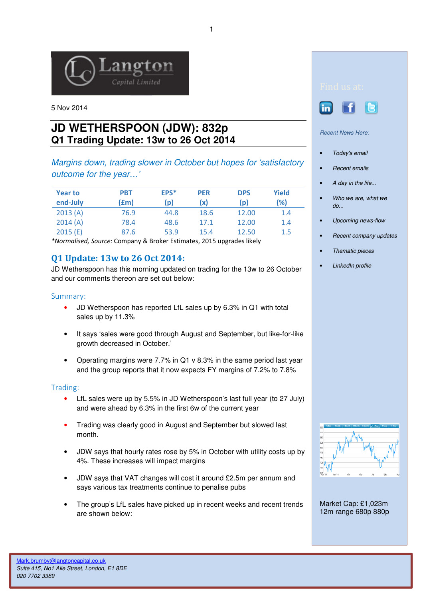

5 Nov 2014

# **JD WETHERSPOON (JDW): 832p Q1 Trading Update: 13w to 26 Oct 2014**

Margins down, trading slower in October but hopes for 'satisfactory outcome for the year…'

| <b>Year to</b><br>end-July | <b>PBT</b><br>(£m) | EPS*<br>(p | <b>PER</b><br>(x) | <b>DPS</b><br>(p) | Yield<br>(%) |
|----------------------------|--------------------|------------|-------------------|-------------------|--------------|
| 2013(A)                    | 76.9               | 44.8       | 18.6              | 12.00             | 1.4          |
| 2014(A)                    | 78.4               | 48.6       | 17.1              | 12.00             | 1.4          |
| 2015(E)                    | 87.6               | 53.9       | 15.4              | 12.50             | 1.5          |

\*Normalised, Source: Company & Broker Estimates, 2015 upgrades likely

## Q1 Update: 13w to 26 Oct 2014:

JD Wetherspoon has this morning updated on trading for the 13w to 26 October and our comments thereon are set out below:

### Summary:

- JD Wetherspoon has reported LfL sales up by 6.3% in Q1 with total sales up by 11.3%
- It says 'sales were good through August and September, but like-for-like growth decreased in October.'
- Operating margins were 7.7% in Q1 v 8.3% in the same period last year and the group reports that it now expects FY margins of 7.2% to 7.8%

#### Trading:

- LfL sales were up by 5.5% in JD Wetherspoon's last full year (to 27 July) and were ahead by 6.3% in the first 6w of the current year
- Trading was clearly good in August and September but slowed last month.
- JDW says that hourly rates rose by 5% in October with utility costs up by 4%. These increases will impact margins
- JDW says that VAT changes will cost it around £2.5m per annum and says various tax treatments continue to penalise pubs
- The group's LfL sales have picked up in recent weeks and recent trends are shown below:





Recent News Here:

- Today's email
- Recent emails
- A day in the life...
- Who we are, what we do...
- Upcoming news-flow
- Recent company updates
- Thematic pieces
- LinkedIn profile



Market Cap: £1,023m 12m range 680p 880p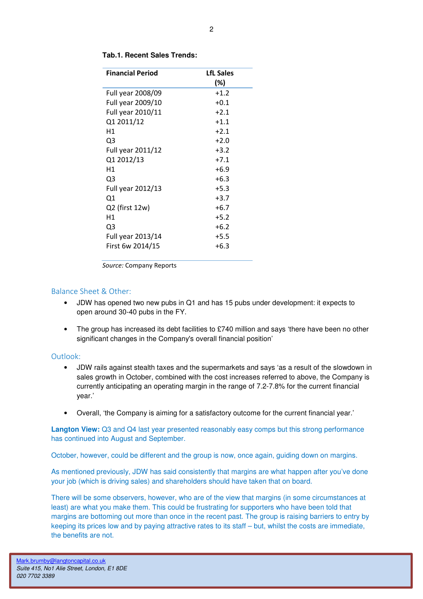| <b>Financial Period</b> | <b>LfL Sales</b><br>(%) |
|-------------------------|-------------------------|
| Full year 2008/09       | $+1.2$                  |
| Full year 2009/10       | $+0.1$                  |
| Full year 2010/11       | $+2.1$                  |
| Q1 2011/12              | $+1.1$                  |
| Η1                      | $+2.1$                  |
| Q3                      | $+2.0$                  |
| Full year 2011/12       | $+3.2$                  |
| Q1 2012/13              | $+7.1$                  |
| Н1                      | $+6.9$                  |
| Q3                      | $+6.3$                  |
| Full year 2012/13       | $+5.3$                  |
| Q1                      | $+3.7$                  |
| Q2 (first 12w)          | $+6.7$                  |
| Η1                      | $+5.2$                  |
| Q3                      | $+6.2$                  |
| Full year 2013/14       | $+5.5$                  |
| First 6w 2014/15        | $+6.3$                  |

#### **Tab.1. Recent Sales Trends:**

Source: Company Reports

### Balance Sheet & Other:

- JDW has opened two new pubs in Q1 and has 15 pubs under development: it expects to open around 30-40 pubs in the FY.
- The group has increased its debt facilities to £740 million and says 'there have been no other significant changes in the Company's overall financial position'

#### Outlook:

- JDW rails against stealth taxes and the supermarkets and says 'as a result of the slowdown in sales growth in October, combined with the cost increases referred to above, the Company is currently anticipating an operating margin in the range of 7.2-7.8% for the current financial year.'
- Overall, 'the Company is aiming for a satisfactory outcome for the current financial year.'

**Langton View:** Q3 and Q4 last year presented reasonably easy comps but this strong performance has continued into August and September.

October, however, could be different and the group is now, once again, guiding down on margins.

As mentioned previously, JDW has said consistently that margins are what happen after you've done your job (which is driving sales) and shareholders should have taken that on board.

There will be some observers, however, who are of the view that margins (in some circumstances at least) are what you make them. This could be frustrating for supporters who have been told that margins are bottoming out more than once in the recent past. The group is raising barriers to entry by keeping its prices low and by paying attractive rates to its staff – but, whilst the costs are immediate, the benefits are not.